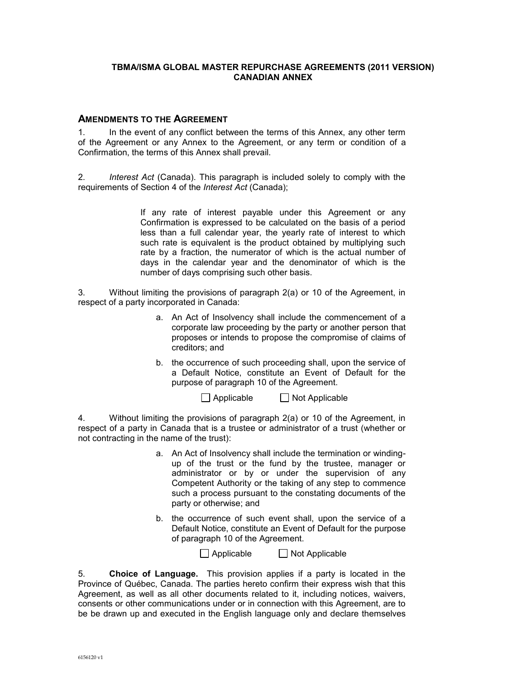# **TBMA/ISMA GLOBAL MASTER REPURCHASE AGREEMENTS (2011 VERSION) CANADIAN ANNEX**

### **AMENDMENTS TO THE AGREEMENT**

1. In the event of any conflict between the terms of this Annex, any other term of the Agreement or any Annex to the Agreement, or any term or condition of a Confirmation, the terms of this Annex shall prevail.

<span id="page-0-0"></span>2. *Interest Act* (Canada). This paragraph is included solely to comply with the requirements of Section 4 of the *Interest Act* (Canada);

> If any rate of interest payable under this Agreement or any Confirmation is expressed to be calculated on the basis of a period less than a full calendar year, the yearly rate of interest to which such rate is equivalent is the product obtained by multiplying such rate by a fraction, the numerator of which is the actual number of days in the calendar year and the denominator of which is the number of days comprising such other basis.

<span id="page-0-1"></span>3. Without limiting the provisions of paragraph 2(a) or 10 of the Agreement, in respect of a party incorporated in Canada:

- a. An Act of Insolvency shall include the commencement of a corporate law proceeding by the party or another person that proposes or intends to propose the compromise of claims of creditors; and
- b. the occurrence of such proceeding shall, upon the service of a Default Notice, constitute an Event of Default for the purpose of paragraph 10 of the Agreement.

 $\Box$  Applicable  $\Box$  Not Applicable

4. Without limiting the provisions of paragraph 2(a) or 10 of the Agreement, in respect of a party in Canada that is a trustee or administrator of a trust (whether or not contracting in the name of the trust):

- a. An Act of Insolvency shall include the termination or windingup of the trust or the fund by the trustee, manager or administrator or by or under the supervision of any Competent Authority or the taking of any step to commence such a process pursuant to the constating documents of the party or otherwise; and
- b. the occurrence of such event shall, upon the service of a Default Notice, constitute an Event of Default for the purpose of paragraph 10 of the Agreement.

 $\Box$  Applicable  $\Box$  Not Applicable

5. **Choice of Language.** This provision applies if a party is located in the Province of Québec, Canada. The parties hereto confirm their express wish that this Agreement, as well as all other documents related to it, including notices, waivers, consents or other communications under or in connection with this Agreement, are to be be drawn up and executed in the English language only and declare themselves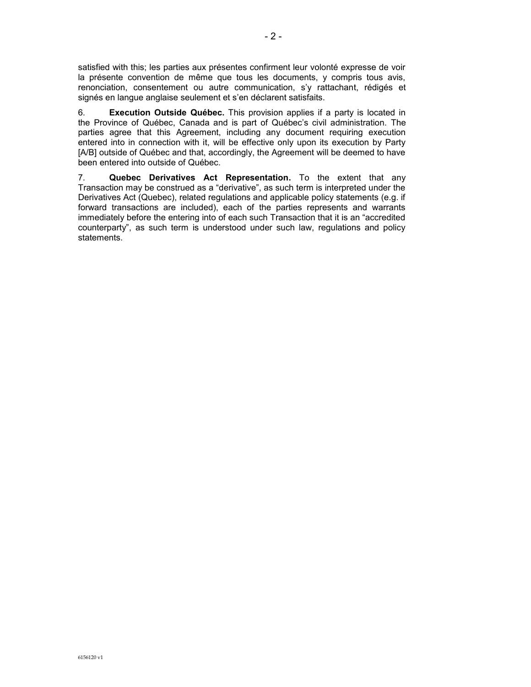satisfied with this; les parties aux présentes confirment leur volonté expresse de voir la présente convention de même que tous les documents, y compris tous avis, renonciation, consentement ou autre communication, s'y rattachant, rédigés et signés en langue anglaise seulement et s'en déclarent satisfaits.

6. **Execution Outside Québec.** This provision applies if a party is located in the Province of Québec, Canada and is part of Québec's civil administration. The parties agree that this Agreement, including any document requiring execution entered into in connection with it, will be effective only upon its execution by Party [A/B] outside of Québec and that, accordingly, the Agreement will be deemed to have been entered into outside of Québec.

7. **Quebec Derivatives Act Representation.** To the extent that any Transaction may be construed as a "derivative", as such term is interpreted under the Derivatives Act (Quebec), related regulations and applicable policy statements (e.g. if forward transactions are included), each of the parties represents and warrants immediately before the entering into of each such Transaction that it is an "accredited counterparty", as such term is understood under such law, regulations and policy statements.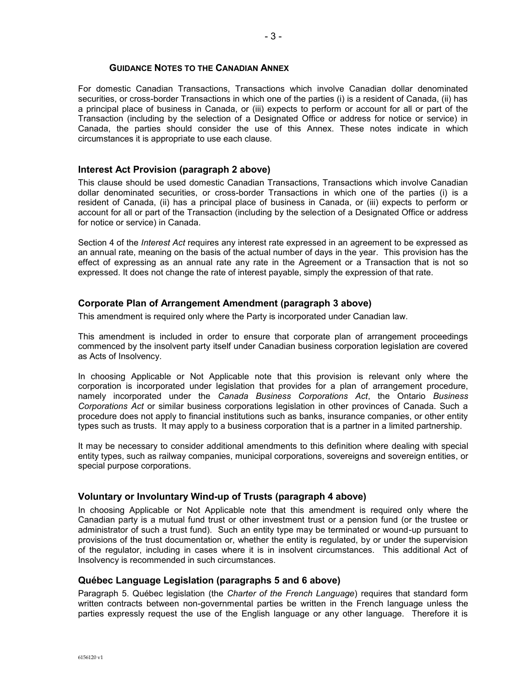#### **GUIDANCE NOTES TO THE CANADIAN ANNEX**

For domestic Canadian Transactions, Transactions which involve Canadian dollar denominated securities, or cross-border Transactions in which one of the parties (i) is a resident of Canada, (ii) has a principal place of business in Canada, or (iii) expects to perform or account for all or part of the Transaction (including by the selection of a Designated Office or address for notice or service) in Canada, the parties should consider the use of this Annex. These notes indicate in which circumstances it is appropriate to use each clause.

#### **Interest Act Provision (paragraph [2](#page-0-0) above)**

This clause should be used domestic Canadian Transactions, Transactions which involve Canadian dollar denominated securities, or cross-border Transactions in which one of the parties (i) is a resident of Canada, (ii) has a principal place of business in Canada, or (iii) expects to perform or account for all or part of the Transaction (including by the selection of a Designated Office or address for notice or service) in Canada.

Section 4 of the *Interest Act* requires any interest rate expressed in an agreement to be expressed as an annual rate, meaning on the basis of the actual number of days in the year. This provision has the effect of expressing as an annual rate any rate in the Agreement or a Transaction that is not so expressed. It does not change the rate of interest payable, simply the expression of that rate.

### **Corporate Plan of Arrangement Amendment (paragraph [3](#page-0-1) above)**

This amendment is required only where the Party is incorporated under Canadian law.

This amendment is included in order to ensure that corporate plan of arrangement proceedings commenced by the insolvent party itself under Canadian business corporation legislation are covered as Acts of Insolvency.

In choosing Applicable or Not Applicable note that this provision is relevant only where the corporation is incorporated under legislation that provides for a plan of arrangement procedure, namely incorporated under the *Canada Business Corporations Act*, the Ontario *Business Corporations Act* or similar business corporations legislation in other provinces of Canada. Such a procedure does not apply to financial institutions such as banks, insurance companies, or other entity types such as trusts. It may apply to a business corporation that is a partner in a limited partnership.

It may be necessary to consider additional amendments to this definition where dealing with special entity types, such as railway companies, municipal corporations, sovereigns and sovereign entities, or special purpose corporations.

#### **Voluntary or Involuntary Wind-up of Trusts (paragraph 4 above)**

In choosing Applicable or Not Applicable note that this amendment is required only where the Canadian party is a mutual fund trust or other investment trust or a pension fund (or the trustee or administrator of such a trust fund). Such an entity type may be terminated or wound-up pursuant to provisions of the trust documentation or, whether the entity is regulated, by or under the supervision of the regulator, including in cases where it is in insolvent circumstances. This additional Act of Insolvency is recommended in such circumstances.

### **Québec Language Legislation (paragraphs 5 and 6 above)**

Paragraph 5. Québec legislation (the *Charter of the French Language*) requires that standard form written contracts between non-governmental parties be written in the French language unless the parties expressly request the use of the English language or any other language. Therefore it is